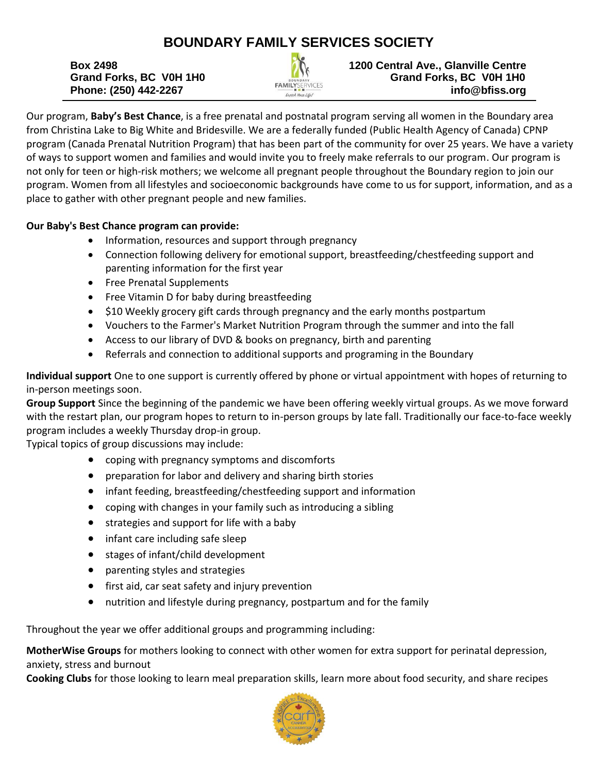## **BOUNDARY FAMILY SERVICES SOCIETY**



**Box 2498 1200 Central Ave., Glanville Centre 1200 Central Ave., Glanville Centre Grand Forks, BC V0H 1H0 Grand Forks, BC V0H 1H0 Phone: (250) 442-2267 info@bfiss.org**

Our program, **Baby's Best Chance**, is a free prenatal and postnatal program serving all women in the Boundary area from Christina Lake to Big White and Bridesville. We are a federally funded (Public Health Agency of Canada) CPNP program (Canada Prenatal Nutrition Program) that has been part of the community for over 25 years. We have a variety of ways to support women and families and would invite you to freely make referrals to our program. Our program is not only for teen or high-risk mothers; we welcome all pregnant people throughout the Boundary region to join our program. Women from all lifestyles and socioeconomic backgrounds have come to us for support, information, and as a place to gather with other pregnant people and new families.

## **Our Baby's Best Chance program can provide:**

- Information, resources and support through pregnancy
- Connection following delivery for emotional support, breastfeeding/chestfeeding support and parenting information for the first year
- Free Prenatal Supplements
- Free Vitamin D for baby during breastfeeding
- \$10 Weekly grocery gift cards through pregnancy and the early months postpartum
- Vouchers to the Farmer's Market Nutrition Program through the summer and into the fall
- Access to our library of DVD & books on pregnancy, birth and parenting
- Referrals and connection to additional supports and programing in the Boundary

**Individual support** One to one support is currently offered by phone or virtual appointment with hopes of returning to in-person meetings soon.

**Group Support** Since the beginning of the pandemic we have been offering weekly virtual groups. As we move forward with the restart plan, our program hopes to return to in-person groups by late fall. Traditionally our face-to-face weekly program includes a weekly Thursday drop-in group.

Typical topics of group discussions may include:

- coping with pregnancy symptoms and discomforts
- preparation for labor and delivery and sharing birth stories
- infant feeding, breastfeeding/chestfeeding support and information
- coping with changes in your family such as introducing a sibling
- strategies and support for life with a baby
- infant care including safe sleep
- stages of infant/child development
- parenting styles and strategies
- first aid, car seat safety and injury prevention
- nutrition and lifestyle during pregnancy, postpartum and for the family

Throughout the year we offer additional groups and programming including:

**MotherWise Groups** for mothers looking to connect with other women for extra support for perinatal depression, anxiety, stress and burnout

**Cooking Clubs** for those looking to learn meal preparation skills, learn more about food security, and share recipes